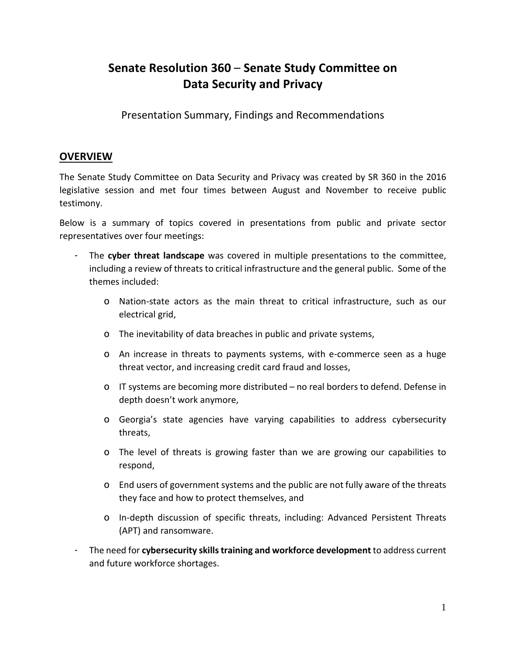# **Senate Resolution 360** – **Senate Study Committee on Data Security and Privacy**

Presentation Summary, Findings and Recommendations

## **OVERVIEW**

The Senate Study Committee on Data Security and Privacy was created by SR 360 in the 2016 legislative session and met four times between August and November to receive public testimony.

Below is a summary of topics covered in presentations from public and private sector representatives over four meetings:

- The **cyber threat landscape** was covered in multiple presentations to the committee, including a review of threats to critical infrastructure and the general public. Some of the themes included:
	- o Nation-state actors as the main threat to critical infrastructure, such as our electrical grid,
	- o The inevitability of data breaches in public and private systems,
	- o An increase in threats to payments systems, with e-commerce seen as a huge threat vector, and increasing credit card fraud and losses,
	- o IT systems are becoming more distributed no real borders to defend. Defense in depth doesn't work anymore,
	- o Georgia's state agencies have varying capabilities to address cybersecurity threats,
	- o The level of threats is growing faster than we are growing our capabilities to respond,
	- o End users of government systems and the public are not fully aware of the threats they face and how to protect themselves, and
	- o In-depth discussion of specific threats, including: Advanced Persistent Threats (APT) and ransomware.
- The need for **cybersecurity skillstraining and workforce development** to address current and future workforce shortages.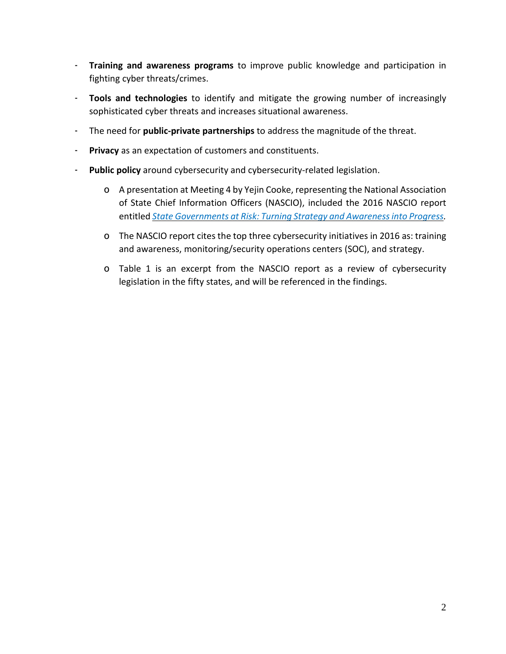- **Training and awareness programs** to improve public knowledge and participation in fighting cyber threats/crimes.
- **Tools and technologies** to identify and mitigate the growing number of increasingly sophisticated cyber threats and increases situational awareness.
- The need for **public-private partnerships** to address the magnitude of the threat.
- **Privacy** as an expectation of customers and constituents.
- **Public policy** around cybersecurity and cybersecurity-related legislation.
	- o A presentation at Meeting 4 by Yejin Cooke, representing the National Association of State Chief Information Officers (NASCIO), included the 2016 NASCIO report entitled *State Governments at Risk: Turning Strategy and [Awarenessinto](http://www.nascio.org/Publications/ArtMID/485/ArticleID/413/2016-Deloitte-NASCIO-Cybersecurity-Study-State-Governments-at-Risk-Turning-Strategy-and-Awareness-into-Progress) Progress.*
	- o The NASCIO report cites the top three cybersecurity initiatives in 2016 as: training and awareness, monitoring/security operations centers (SOC), and strategy.
	- o Table 1 is an excerpt from the NASCIO report as a review of cybersecurity legislation in the fifty states, and will be referenced in the findings.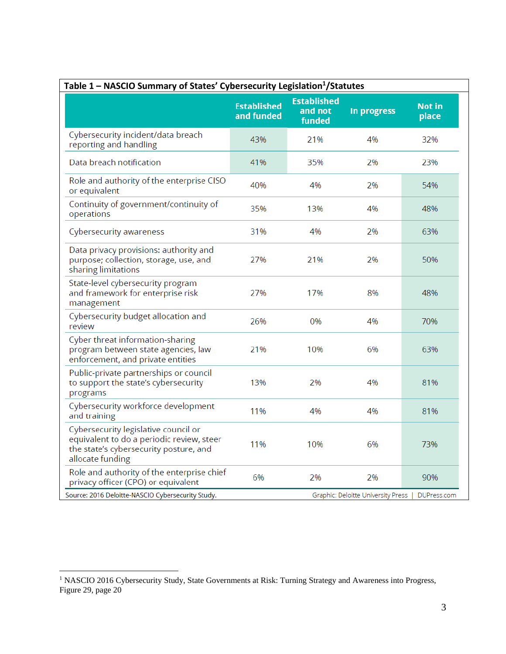| Table 1 - NASCIO Summary of States' Cybersecurity Legislation <sup>1</sup> /Statutes                                                            |                                  |                                         |             |                        |  |
|-------------------------------------------------------------------------------------------------------------------------------------------------|----------------------------------|-----------------------------------------|-------------|------------------------|--|
|                                                                                                                                                 | <b>Established</b><br>and funded | <b>Established</b><br>and not<br>funded | In progress | <b>Not in</b><br>place |  |
| Cybersecurity incident/data breach<br>reporting and handling                                                                                    | 43%                              | 21%                                     | 4%          | 32%                    |  |
| Data breach notification                                                                                                                        | 41%                              | 35%                                     | 2%          | 23%                    |  |
| Role and authority of the enterprise CISO<br>or equivalent                                                                                      | 40%                              | 4%                                      | 2%          | 54%                    |  |
| Continuity of government/continuity of<br>operations                                                                                            | 35%                              | 13%                                     | 4%          | 48%                    |  |
| Cybersecurity awareness                                                                                                                         | 31%                              | 4%                                      | 2%          | 63%                    |  |
| Data privacy provisions: authority and<br>purpose; collection, storage, use, and<br>sharing limitations                                         | 27%                              | 21%                                     | 2%          | 50%                    |  |
| State-level cybersecurity program<br>and framework for enterprise risk<br>management                                                            | 27%                              | 17%                                     | 8%          | 48%                    |  |
| Cybersecurity budget allocation and<br>review                                                                                                   | 26%                              | 0%                                      | 4%          | 70%                    |  |
| Cyber threat information-sharing<br>program between state agencies, law<br>enforcement, and private entities                                    | 21%                              | 10%                                     | 6%          | 63%                    |  |
| Public-private partnerships or council<br>to support the state's cybersecurity<br>programs                                                      | 13%                              | 2%                                      | 4%          | 81%                    |  |
| Cybersecurity workforce development<br>and training                                                                                             | 11%                              | 4%                                      | 4%          | 81%                    |  |
| Cybersecurity legislative council or<br>equivalent to do a periodic review, steer<br>the state's cybersecurity posture, and<br>allocate funding | 11%                              | 10%                                     | 6%          | 73%                    |  |
| Role and authority of the enterprise chief<br>privacy officer (CPO) or equivalent                                                               | 6%                               | 2%                                      | 2%          | 90%                    |  |
| Source: 2016 Deloitte-NASCIO Cybersecurity Study.<br>Graphic: Deloitte University Press                                                         |                                  |                                         | DUPress.com |                        |  |

 $\overline{a}$ 

<sup>&</sup>lt;sup>1</sup> NASCIO 2016 Cybersecurity Study, State Governments at Risk: Turning Strategy and Awareness into Progress, Figure 29, page 20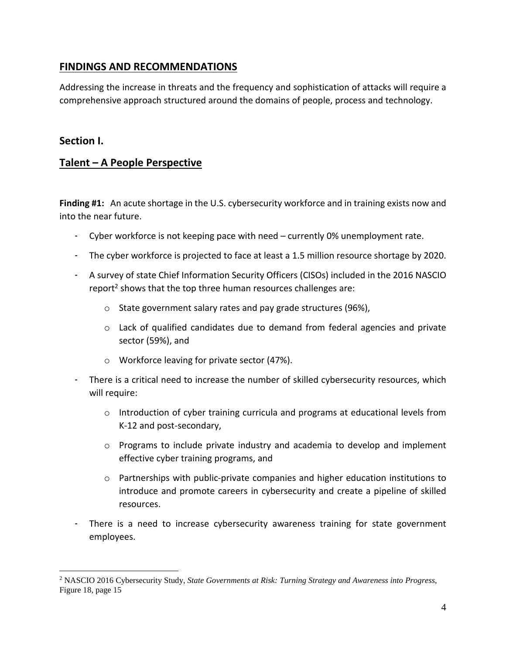## **FINDINGS AND RECOMMENDATIONS**

Addressing the increase in threats and the frequency and sophistication of attacks will require a comprehensive approach structured around the domains of people, process and technology.

## **Section I.**

 $\overline{a}$ 

## **Talent – A People Perspective**

**Finding #1:** An acute shortage in the U.S. cybersecurity workforce and in training exists now and into the near future.

- Cyber workforce is not keeping pace with need currently 0% unemployment rate.
- The cyber workforce is projected to face at least a 1.5 million resource shortage by 2020.
- A survey of state Chief Information Security Officers (CISOs) included in the 2016 NASCIO report<sup>2</sup> shows that the top three human resources challenges are:
	- o State government salary rates and pay grade structures (96%),
	- $\circ$  Lack of qualified candidates due to demand from federal agencies and private sector (59%), and
	- o Workforce leaving for private sector (47%).
- There is a critical need to increase the number of skilled cybersecurity resources, which will require:
	- $\circ$  Introduction of cyber training curricula and programs at educational levels from K-12 and post-secondary,
	- o Programs to include private industry and academia to develop and implement effective cyber training programs, and
	- $\circ$  Partnerships with public-private companies and higher education institutions to introduce and promote careers in cybersecurity and create a pipeline of skilled resources.
- There is a need to increase cybersecurity awareness training for state government employees.

<sup>2</sup> NASCIO 2016 Cybersecurity Study, *State Governments at Risk: Turning Strategy and Awareness into Progress*, Figure 18, page 15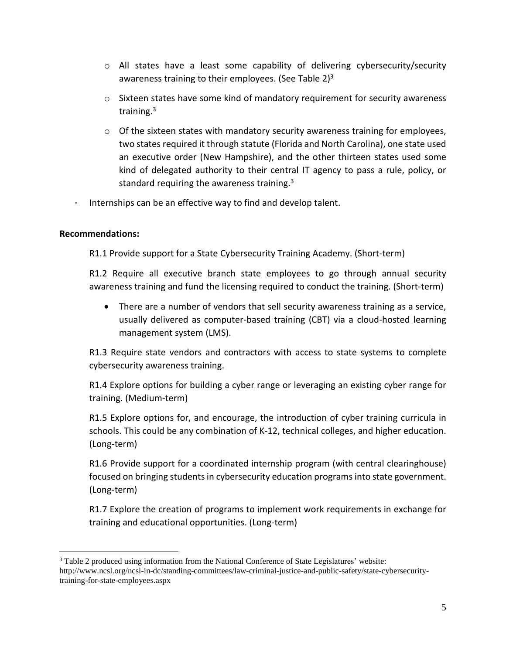- $\circ$  All states have a least some capability of delivering cybersecurity/security awareness training to their employees. (See Table  $2^3$
- $\circ$  Sixteen states have some kind of mandatory requirement for security awareness training.<sup>3</sup>
- $\circ$  Of the sixteen states with mandatory security awareness training for employees, two states required it through statute (Florida and North Carolina), one state used an executive order (New Hampshire), and the other thirteen states used some kind of delegated authority to their central IT agency to pass a rule, policy, or standard requiring the awareness training. $3$
- Internships can be an effective way to find and develop talent.

 $\overline{a}$ 

R1.1 Provide support for a State Cybersecurity Training Academy. (Short-term)

R1.2 Require all executive branch state employees to go through annual security awareness training and fund the licensing required to conduct the training. (Short-term)

 There are a number of vendors that sell security awareness training as a service, usually delivered as computer-based training (CBT) via a cloud-hosted learning management system (LMS).

R1.3 Require state vendors and contractors with access to state systems to complete cybersecurity awareness training.

R1.4 Explore options for building a cyber range or leveraging an existing cyber range for training. (Medium-term)

R1.5 Explore options for, and encourage, the introduction of cyber training curricula in schools. This could be any combination of K-12, technical colleges, and higher education. (Long-term)

R1.6 Provide support for a coordinated internship program (with central clearinghouse) focused on bringing students in cybersecurity education programs into state government. (Long-term)

R1.7 Explore the creation of programs to implement work requirements in exchange for training and educational opportunities. (Long-term)

<sup>3</sup> Table 2 produced using information from the National Conference of State Legislatures' website: http://www.ncsl.org/ncsl-in-dc/standing-committees/law-criminal-justice-and-public-safety/state-cybersecuritytraining-for-state-employees.aspx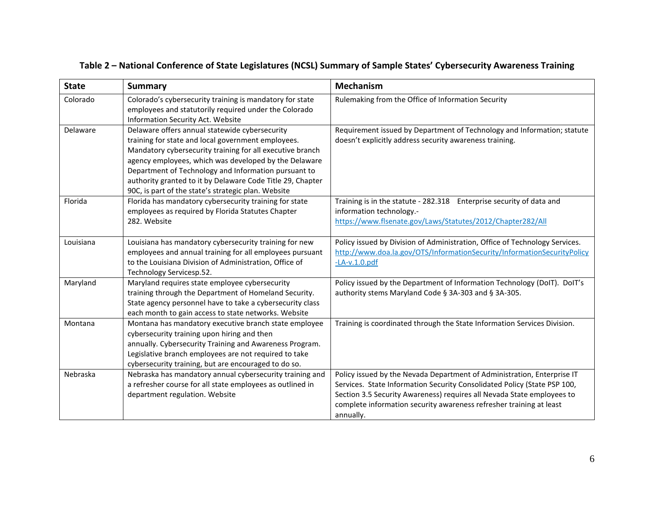# Table 2 - National Conference of State Legislatures (NCSL) Summary of Sample States' Cybersecurity Awareness Training

| <b>State</b> | <b>Summary</b>                                                                                                                                                                                                                                                                                                                                                                                          | <b>Mechanism</b>                                                                                                                                                                                                                                                                                                  |
|--------------|---------------------------------------------------------------------------------------------------------------------------------------------------------------------------------------------------------------------------------------------------------------------------------------------------------------------------------------------------------------------------------------------------------|-------------------------------------------------------------------------------------------------------------------------------------------------------------------------------------------------------------------------------------------------------------------------------------------------------------------|
| Colorado     | Colorado's cybersecurity training is mandatory for state<br>employees and statutorily required under the Colorado<br>Information Security Act. Website                                                                                                                                                                                                                                                  | Rulemaking from the Office of Information Security                                                                                                                                                                                                                                                                |
| Delaware     | Delaware offers annual statewide cybersecurity<br>training for state and local government employees.<br>Mandatory cybersecurity training for all executive branch<br>agency employees, which was developed by the Delaware<br>Department of Technology and Information pursuant to<br>authority granted to it by Delaware Code Title 29, Chapter<br>90C, is part of the state's strategic plan. Website | Requirement issued by Department of Technology and Information; statute<br>doesn't explicitly address security awareness training.                                                                                                                                                                                |
| Florida      | Florida has mandatory cybersecurity training for state<br>employees as required by Florida Statutes Chapter<br>282. Website                                                                                                                                                                                                                                                                             | Training is in the statute - 282.318 Enterprise security of data and<br>information technology.-<br>https://www.flsenate.gov/Laws/Statutes/2012/Chapter282/All                                                                                                                                                    |
| Louisiana    | Louisiana has mandatory cybersecurity training for new<br>employees and annual training for all employees pursuant<br>to the Louisiana Division of Administration, Office of<br>Technology Servicesp.52.                                                                                                                                                                                                | Policy issued by Division of Administration, Office of Technology Services.<br>http://www.doa.la.gov/OTS/InformationSecurity/InformationSecurityPolicy<br>$-LA-v.1.0.pdf$                                                                                                                                         |
| Maryland     | Maryland requires state employee cybersecurity<br>training through the Department of Homeland Security.<br>State agency personnel have to take a cybersecurity class<br>each month to gain access to state networks. Website                                                                                                                                                                            | Policy issued by the Department of Information Technology (DoIT). DoIT's<br>authority stems Maryland Code § 3A-303 and § 3A-305.                                                                                                                                                                                  |
| Montana      | Montana has mandatory executive branch state employee<br>cybersecurity training upon hiring and then<br>annually. Cybersecurity Training and Awareness Program.<br>Legislative branch employees are not required to take<br>cybersecurity training, but are encouraged to do so.                                                                                                                        | Training is coordinated through the State Information Services Division.                                                                                                                                                                                                                                          |
| Nebraska     | Nebraska has mandatory annual cybersecurity training and<br>a refresher course for all state employees as outlined in<br>department regulation. Website                                                                                                                                                                                                                                                 | Policy issued by the Nevada Department of Administration, Enterprise IT<br>Services. State Information Security Consolidated Policy (State PSP 100,<br>Section 3.5 Security Awareness) requires all Nevada State employees to<br>complete information security awareness refresher training at least<br>annually. |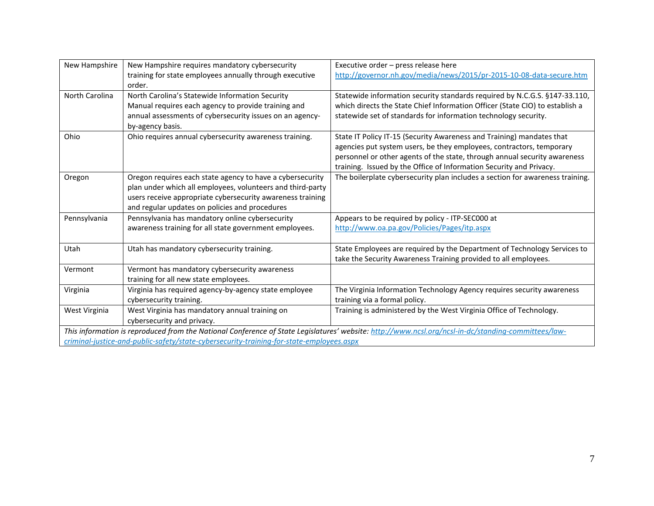| New Hampshire                                                                                                                                       | New Hampshire requires mandatory cybersecurity                                           | Executive order - press release here                                          |  |  |  |
|-----------------------------------------------------------------------------------------------------------------------------------------------------|------------------------------------------------------------------------------------------|-------------------------------------------------------------------------------|--|--|--|
|                                                                                                                                                     | training for state employees annually through executive                                  | http://governor.nh.gov/media/news/2015/pr-2015-10-08-data-secure.htm          |  |  |  |
|                                                                                                                                                     | order.                                                                                   |                                                                               |  |  |  |
| North Carolina                                                                                                                                      | North Carolina's Statewide Information Security                                          | Statewide information security standards required by N.C.G.S. §147-33.110,    |  |  |  |
|                                                                                                                                                     | Manual requires each agency to provide training and                                      | which directs the State Chief Information Officer (State CIO) to establish a  |  |  |  |
|                                                                                                                                                     | annual assessments of cybersecurity issues on an agency-                                 | statewide set of standards for information technology security.               |  |  |  |
|                                                                                                                                                     | by-agency basis.                                                                         |                                                                               |  |  |  |
| Ohio                                                                                                                                                | Ohio requires annual cybersecurity awareness training.                                   | State IT Policy IT-15 (Security Awareness and Training) mandates that         |  |  |  |
|                                                                                                                                                     |                                                                                          | agencies put system users, be they employees, contractors, temporary          |  |  |  |
|                                                                                                                                                     |                                                                                          | personnel or other agents of the state, through annual security awareness     |  |  |  |
|                                                                                                                                                     |                                                                                          | training. Issued by the Office of Information Security and Privacy.           |  |  |  |
| Oregon                                                                                                                                              | Oregon requires each state agency to have a cybersecurity                                | The boilerplate cybersecurity plan includes a section for awareness training. |  |  |  |
|                                                                                                                                                     | plan under which all employees, volunteers and third-party                               |                                                                               |  |  |  |
|                                                                                                                                                     | users receive appropriate cybersecurity awareness training                               |                                                                               |  |  |  |
|                                                                                                                                                     | and regular updates on policies and procedures                                           |                                                                               |  |  |  |
| Pennsylvania                                                                                                                                        | Pennsylvania has mandatory online cybersecurity                                          | Appears to be required by policy - ITP-SEC000 at                              |  |  |  |
|                                                                                                                                                     | awareness training for all state government employees.                                   | http://www.oa.pa.gov/Policies/Pages/itp.aspx                                  |  |  |  |
|                                                                                                                                                     |                                                                                          |                                                                               |  |  |  |
| Utah                                                                                                                                                | Utah has mandatory cybersecurity training.                                               | State Employees are required by the Department of Technology Services to      |  |  |  |
|                                                                                                                                                     |                                                                                          | take the Security Awareness Training provided to all employees.               |  |  |  |
| Vermont                                                                                                                                             | Vermont has mandatory cybersecurity awareness                                            |                                                                               |  |  |  |
|                                                                                                                                                     | training for all new state employees.                                                    |                                                                               |  |  |  |
| Virginia                                                                                                                                            | Virginia has required agency-by-agency state employee                                    | The Virginia Information Technology Agency requires security awareness        |  |  |  |
|                                                                                                                                                     | cybersecurity training.                                                                  | training via a formal policy.                                                 |  |  |  |
| West Virginia                                                                                                                                       | West Virginia has mandatory annual training on                                           | Training is administered by the West Virginia Office of Technology.           |  |  |  |
|                                                                                                                                                     | cybersecurity and privacy.                                                               |                                                                               |  |  |  |
| This information is reproduced from the National Conference of State Legislatures' website: http://www.ncsl.org/ncsl-in-dc/standing-committees/law- |                                                                                          |                                                                               |  |  |  |
|                                                                                                                                                     | criminal-justice-and-public-safety/state-cybersecurity-training-for-state-employees.aspx |                                                                               |  |  |  |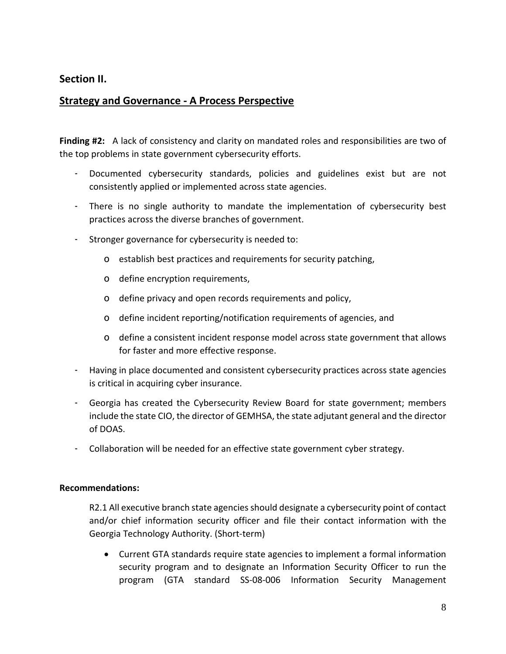## **Section II.**

## **Strategy and Governance - A Process Perspective**

**Finding #2:** A lack of consistency and clarity on mandated roles and responsibilities are two of the top problems in state government cybersecurity efforts.

- Documented cybersecurity standards, policies and guidelines exist but are not consistently applied or implemented across state agencies.
- There is no single authority to mandate the implementation of cybersecurity best practices across the diverse branches of government.
- Stronger governance for cybersecurity is needed to:
	- o establish best practices and requirements for security patching,
	- o define encryption requirements,
	- o define privacy and open records requirements and policy,
	- o define incident reporting/notification requirements of agencies, and
	- o define a consistent incident response model across state government that allows for faster and more effective response.
- Having in place documented and consistent cybersecurity practices across state agencies is critical in acquiring cyber insurance.
- Georgia has created the Cybersecurity Review Board for state government; members include the state CIO, the director of GEMHSA, the state adjutant general and the director of DOAS.
- Collaboration will be needed for an effective state government cyber strategy.

## **Recommendations:**

R2.1 All executive branch state agencies should designate a cybersecurity point of contact and/or chief information security officer and file their contact information with the Georgia Technology Authority. (Short-term)

 Current GTA standards require state agencies to implement a formal information security program and to designate an Information Security Officer to run the program (GTA standard SS-08-006 Information Security Management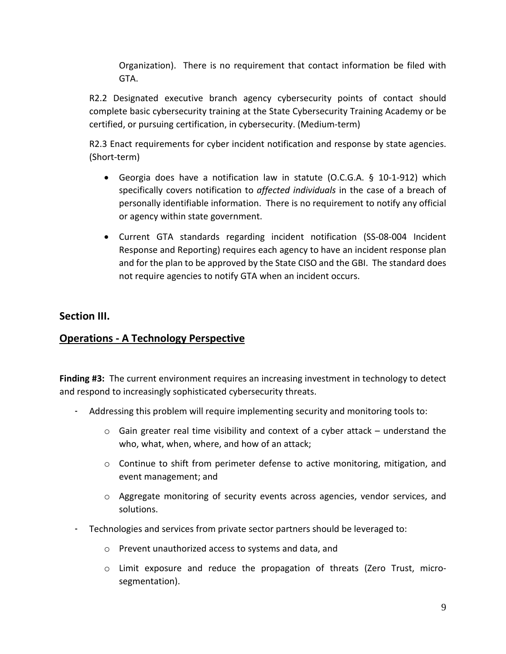Organization). There is no requirement that contact information be filed with GTA.

R2.2 Designated executive branch agency cybersecurity points of contact should complete basic cybersecurity training at the State Cybersecurity Training Academy or be certified, or pursuing certification, in cybersecurity. (Medium-term)

R2.3 Enact requirements for cyber incident notification and response by state agencies. (Short-term)

- Georgia does have a notification law in statute (O.C.G.A. § 10-1-912) which specifically covers notification to *affected individuals* in the case of a breach of personally identifiable information. There is no requirement to notify any official or agency within state government.
- Current GTA standards regarding incident notification (SS-08-004 Incident Response and Reporting) requires each agency to have an incident response plan and for the plan to be approved by the State CISO and the GBI. The standard does not require agencies to notify GTA when an incident occurs.

## **Section III.**

# **Operations - A Technology Perspective**

**Finding #3:** The current environment requires an increasing investment in technology to detect and respond to increasingly sophisticated cybersecurity threats.

- Addressing this problem will require implementing security and monitoring tools to:
	- $\circ$  Gain greater real time visibility and context of a cyber attack understand the who, what, when, where, and how of an attack;
	- $\circ$  Continue to shift from perimeter defense to active monitoring, mitigation, and event management; and
	- o Aggregate monitoring of security events across agencies, vendor services, and solutions.
- Technologies and services from private sector partners should be leveraged to:
	- o Prevent unauthorized access to systems and data, and
	- $\circ$  Limit exposure and reduce the propagation of threats (Zero Trust, microsegmentation).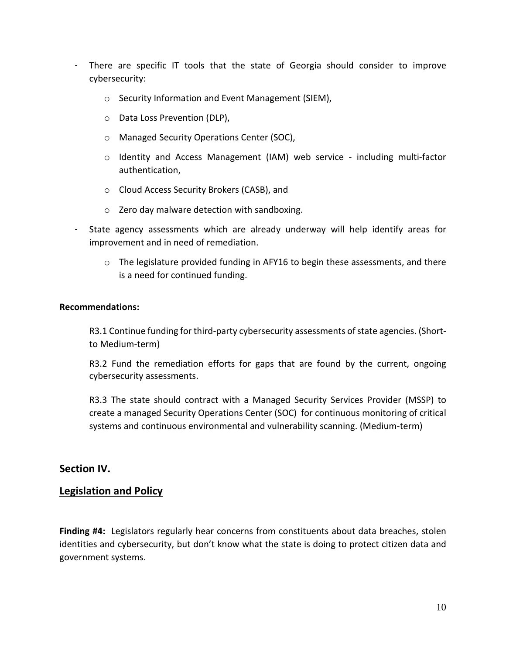- There are specific IT tools that the state of Georgia should consider to improve cybersecurity:
	- o Security Information and Event Management (SIEM),
	- o Data Loss Prevention (DLP),
	- o Managed Security Operations Center (SOC),
	- o Identity and Access Management (IAM) web service including multi-factor authentication,
	- o Cloud Access Security Brokers (CASB), and
	- o Zero day malware detection with sandboxing.
- State agency assessments which are already underway will help identify areas for improvement and in need of remediation.
	- $\circ$  The legislature provided funding in AFY16 to begin these assessments, and there is a need for continued funding.

R3.1 Continue funding for third-party cybersecurity assessments of state agencies. (Shortto Medium-term)

R3.2 Fund the remediation efforts for gaps that are found by the current, ongoing cybersecurity assessments.

R3.3 The state should contract with a Managed Security Services Provider (MSSP) to create a managed Security Operations Center (SOC) for continuous monitoring of critical systems and continuous environmental and vulnerability scanning. (Medium-term)

## **Section IV.**

## **Legislation and Policy**

**Finding #4:** Legislators regularly hear concerns from constituents about data breaches, stolen identities and cybersecurity, but don't know what the state is doing to protect citizen data and government systems.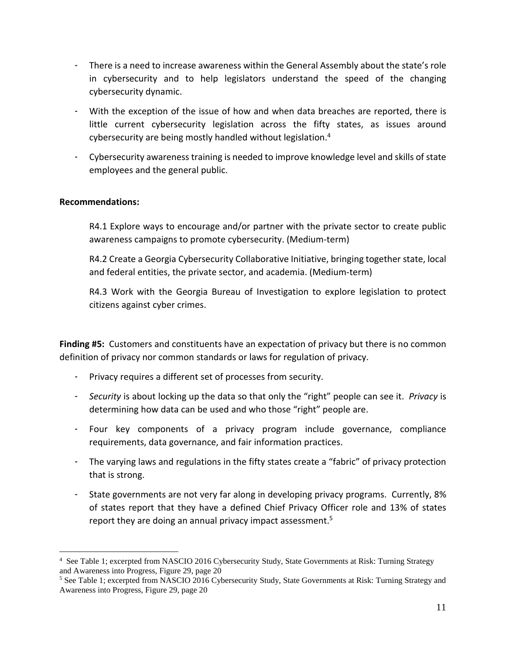- There is a need to increase awareness within the General Assembly about the state's role in cybersecurity and to help legislators understand the speed of the changing cybersecurity dynamic.
- With the exception of the issue of how and when data breaches are reported, there is little current cybersecurity legislation across the fifty states, as issues around cybersecurity are being mostly handled without legislation.<sup>4</sup>
- Cybersecurity awarenesstraining is needed to improve knowledge level and skills of state employees and the general public.

 $\overline{a}$ 

R4.1 Explore ways to encourage and/or partner with the private sector to create public awareness campaigns to promote cybersecurity. (Medium-term)

R4.2 Create a Georgia Cybersecurity Collaborative Initiative, bringing together state, local and federal entities, the private sector, and academia. (Medium-term)

R4.3 Work with the Georgia Bureau of Investigation to explore legislation to protect citizens against cyber crimes.

**Finding #5:** Customers and constituents have an expectation of privacy but there is no common definition of privacy nor common standards or laws for regulation of privacy.

- Privacy requires a different set of processes from security.
- *Security* is about locking up the data so that only the "right" people can see it. *Privacy* is determining how data can be used and who those "right" people are.
- Four key components of a privacy program include governance, compliance requirements, data governance, and fair information practices.
- The varying laws and regulations in the fifty states create a "fabric" of privacy protection that is strong.
- State governments are not very far along in developing privacy programs. Currently, 8% of states report that they have a defined Chief Privacy Officer role and 13% of states report they are doing an annual privacy impact assessment.<sup>5</sup>

<sup>4</sup> See Table 1; excerpted from NASCIO 2016 Cybersecurity Study, State Governments at Risk: Turning Strategy and Awareness into Progress, Figure 29, page 20

<sup>5</sup> See Table 1; excerpted from NASCIO 2016 Cybersecurity Study, State Governments at Risk: Turning Strategy and Awareness into Progress, Figure 29, page 20